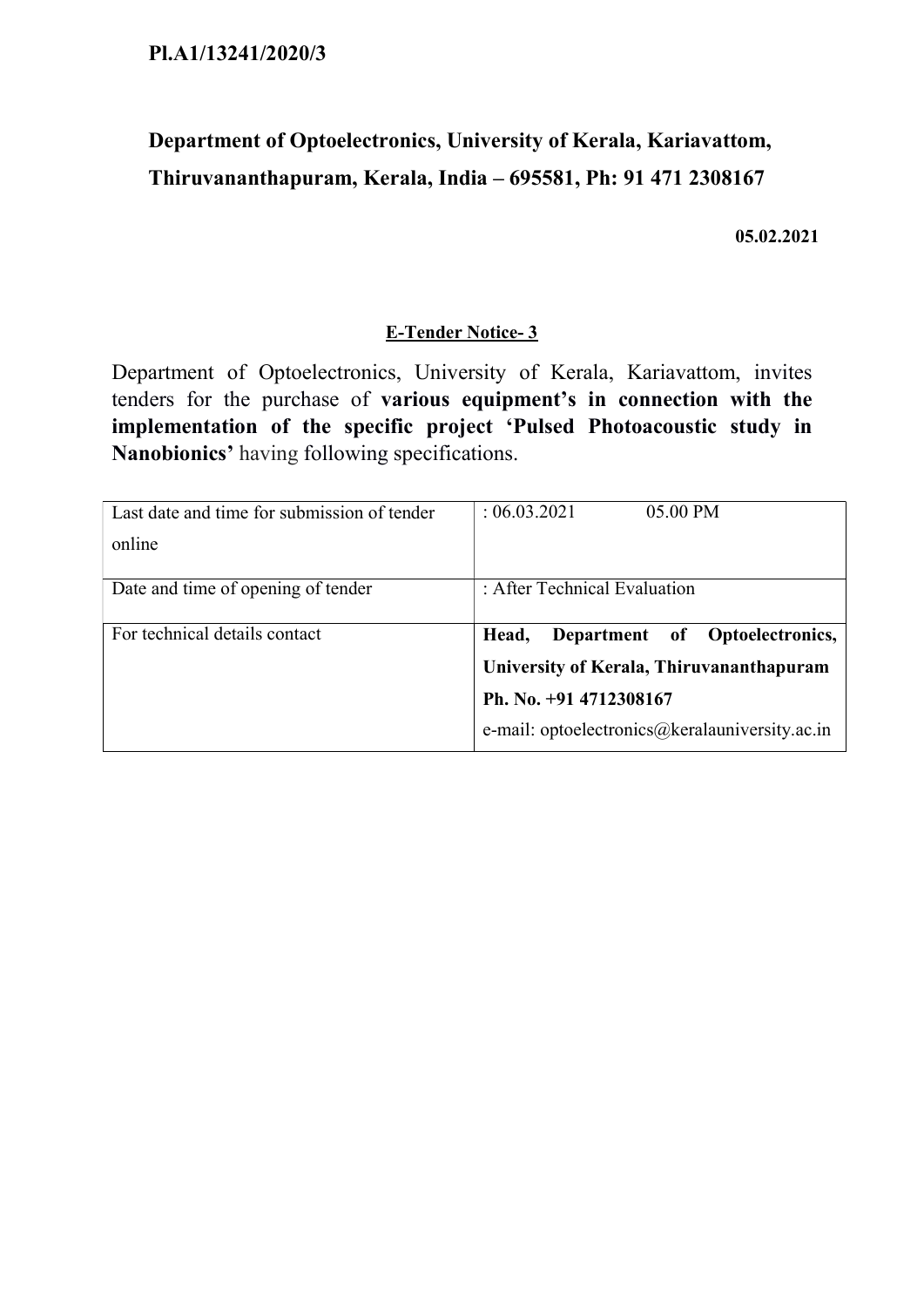# Department of Optoelectronics, University of Kerala, Kariavattom, Thiruvananthapuram, Kerala, India – 695581, Ph: 91 471 2308167

05.02.2021

## E-Tender Notice- 3

Department of Optoelectronics, University of Kerala, Kariavattom, invites tenders for the purchase of various equipment's in connection with the implementation of the specific project 'Pulsed Photoacoustic study in Nanobionics' having following specifications.

| Last date and time for submission of tender | : 06.03.2021<br>05.00 PM                       |
|---------------------------------------------|------------------------------------------------|
| online                                      |                                                |
| Date and time of opening of tender          | : After Technical Evaluation                   |
|                                             |                                                |
| For technical details contact               | Head,<br>Department of Optoelectronics,        |
|                                             | University of Kerala, Thiruvananthapuram       |
|                                             | Ph. No. +91 4712308167                         |
|                                             | e-mail: optoelectronics@keralauniversity.ac.in |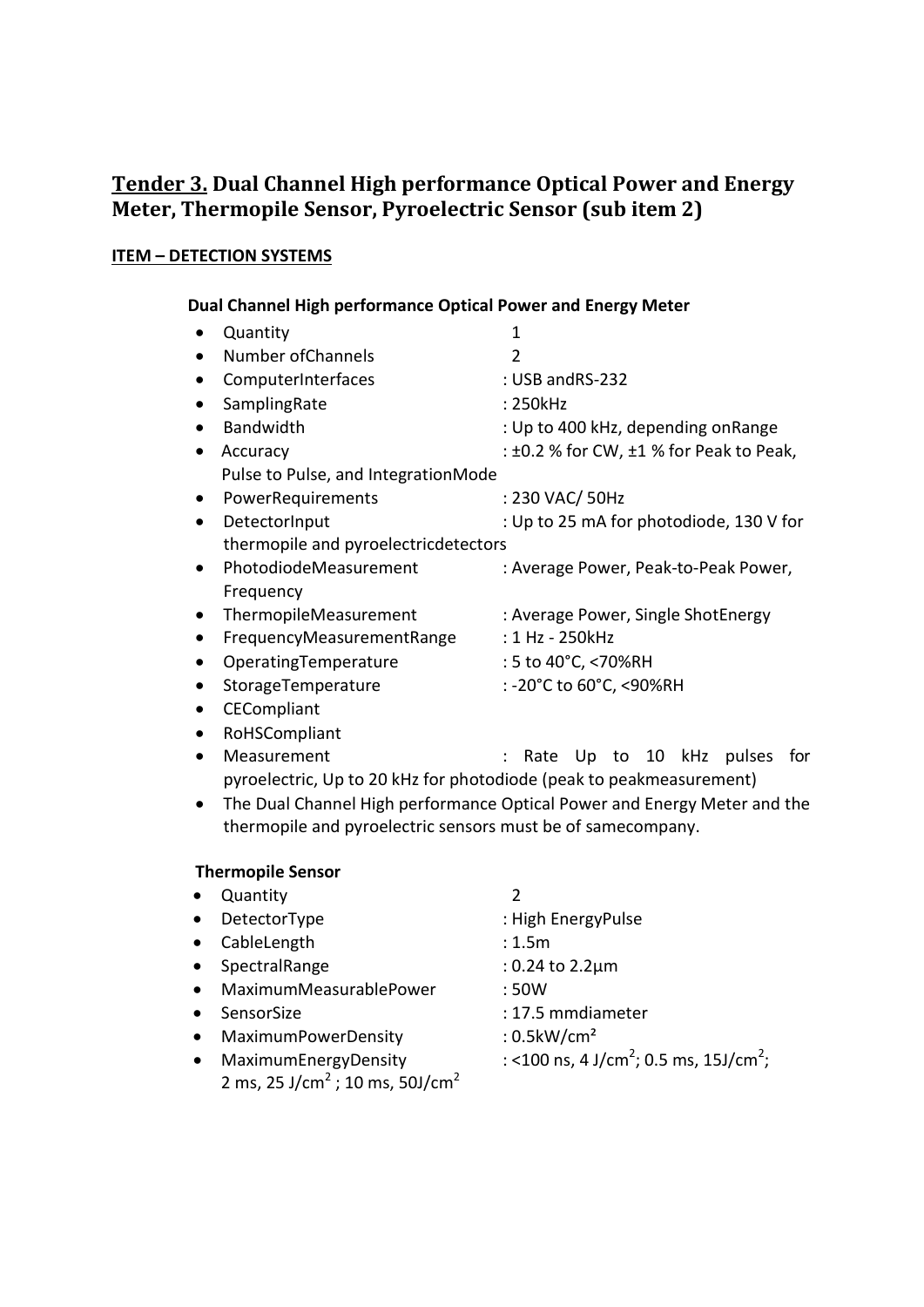# Tender 3. Dual Channel High performance Optical Power and Energy Meter, Thermopile Sensor, Pyroelectric Sensor (sub item 2)

### ITEM – DETECTION SYSTEMS

#### Dual Channel High performance Optical Power and Energy Meter

|           | Quantity                                                            | $\mathbf{1}$                                      |
|-----------|---------------------------------------------------------------------|---------------------------------------------------|
| $\bullet$ | Number of Channels                                                  | 2                                                 |
|           | ComputerInterfaces                                                  | : USB andRS-232                                   |
| $\bullet$ | SamplingRate                                                        | : 250kHz                                          |
| $\bullet$ | <b>Bandwidth</b>                                                    | : Up to 400 kHz, depending onRange                |
| $\bullet$ | Accuracy                                                            | $: \pm 0.2$ % for CW, $\pm 1$ % for Peak to Peak, |
|           | Pulse to Pulse, and IntegrationMode                                 |                                                   |
| $\bullet$ | PowerRequirements                                                   | : 230 VAC/ 50Hz                                   |
| $\bullet$ | DetectorInput                                                       | : Up to 25 mA for photodiode, 130 V for           |
|           | thermopile and pyroelectricdetectors                                |                                                   |
| $\bullet$ | PhotodiodeMeasurement                                               | : Average Power, Peak-to-Peak Power,              |
|           | Frequency                                                           |                                                   |
| $\bullet$ | ThermopileMeasurement                                               | : Average Power, Single ShotEnergy                |
| $\bullet$ | FrequencyMeasurementRange                                           | : 1 Hz - 250kHz                                   |
| $\bullet$ | OperatingTemperature                                                | : 5 to 40°C, <70%RH                               |
| $\bullet$ | StorageTemperature                                                  | : -20°C to 60°C, <90%RH                           |
| $\bullet$ | CECompliant                                                         |                                                   |
| $\bullet$ | RoHSCompliant                                                       |                                                   |
| $\bullet$ | Measurement                                                         | Up to 10 kHz<br>pulses<br>Rate<br>for             |
|           | pyroelectric, Up to 20 kHz for photodiode (peak to peakmeasurement) |                                                   |

 The Dual Channel High performance Optical Power and Energy Meter and the thermopile and pyroelectric sensors must be of samecompany.

#### Thermopile Sensor

 Quantity 2 • DetectorType : High EnergyPulse CableLength : 1.5m SpectralRange : 0.24 to 2.2µm MaximumMeasurablePower : 50W SensorSize : 17.5 mmdiameter • MaximumPowerDensity : 0.5kW/cm<sup>2</sup> • MaximumEnergyDensity ; 0.5 ms, 15J/cm<sup>2</sup>; 2 ms, 25 J/cm<sup>2</sup> ; 10 ms, 50J/cm<sup>2</sup>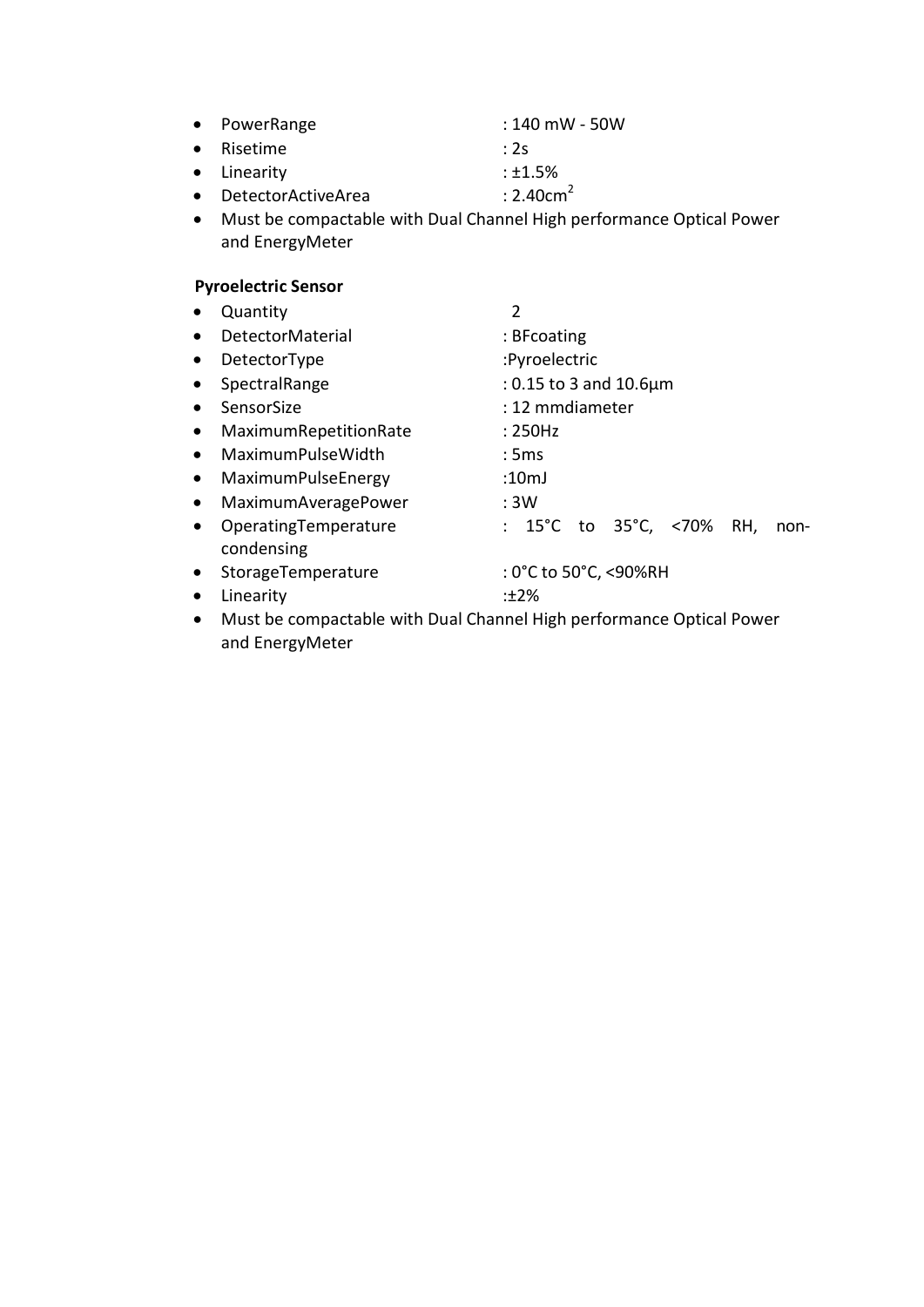|  | • PowerRange | $:140$ mW - 50W |
|--|--------------|-----------------|
|--|--------------|-----------------|

- Risetime : 2s
- Linearity : ±1.5%
- $\bullet$  DetectorActiveArea : 2.40cm<sup>2</sup>
- Must be compactable with Dual Channel High performance Optical Power and EnergyMeter

## Pyroelectric Sensor

|           | Quantity                           | 2                                                    |
|-----------|------------------------------------|------------------------------------------------------|
| $\bullet$ | <b>DetectorMaterial</b>            | : BFcoating                                          |
| $\bullet$ | DetectorType                       | :Pyroelectric                                        |
| $\bullet$ | SpectralRange                      | : 0.15 to 3 and $10.6 \mu m$                         |
| $\bullet$ | SensorSize                         | : 12 mmdiameter                                      |
| $\bullet$ | MaximumRepetitionRate              | :250Hz                                               |
| $\bullet$ | MaximumPulseWidth                  | :5ms                                                 |
| $\bullet$ | MaximumPulseEnergy                 | :10mJ                                                |
| $\bullet$ | MaximumAveragePower                | : 3W                                                 |
| $\bullet$ | OperatingTemperature<br>condensing | : $15^{\circ}$ C to $35^{\circ}$ C, <70% RH,<br>non- |
| $\bullet$ | StorageTemperature                 | $:0^{\circ}$ C to 50 $^{\circ}$ C, <90%RH            |
| $\bullet$ | Linearity                          | $: +2\%$                                             |

 Must be compactable with Dual Channel High performance Optical Power and EnergyMeter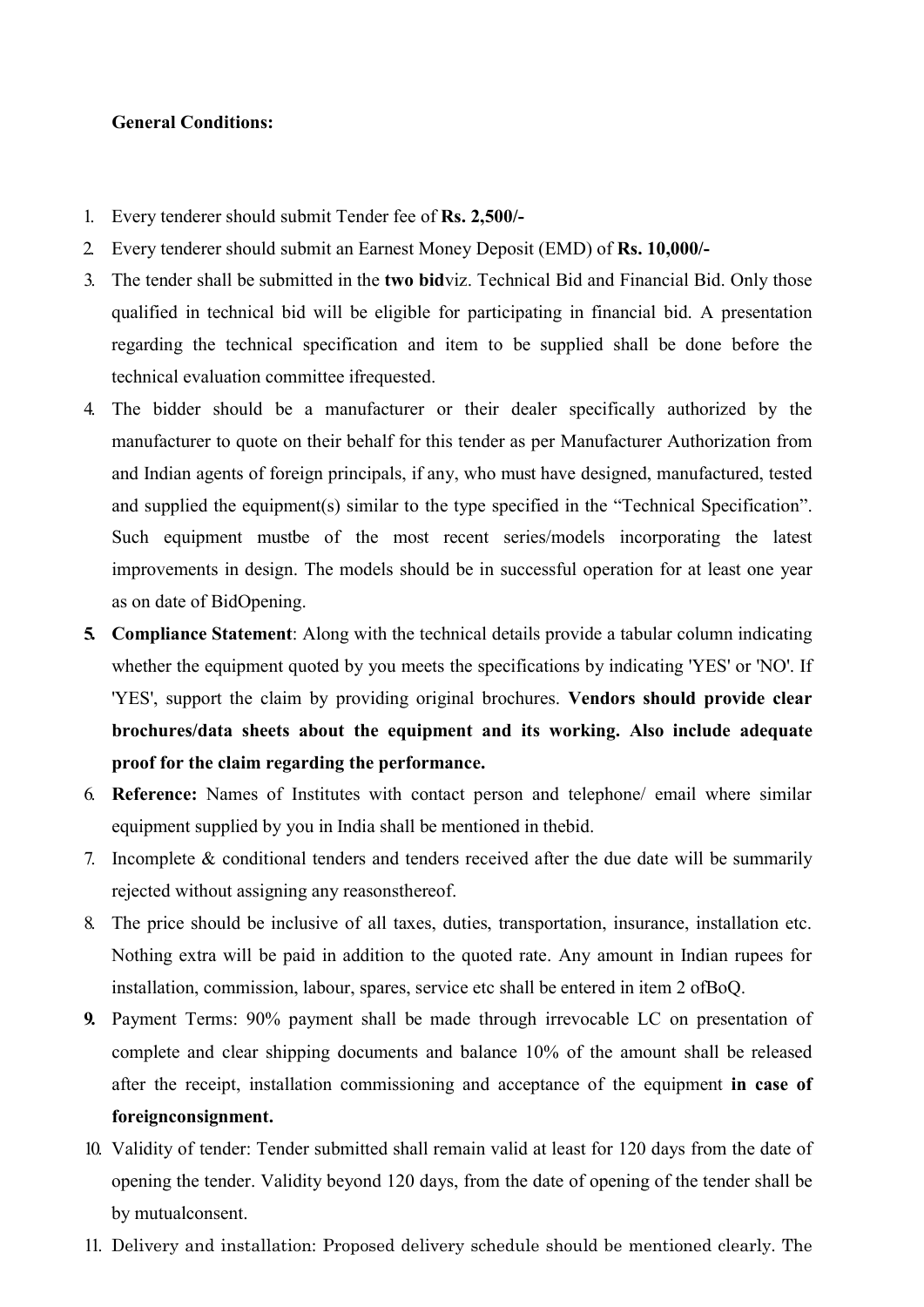#### General Conditions:

- 1. Every tenderer should submit Tender fee of Rs. 2,500/-
- 2. Every tenderer should submit an Earnest Money Deposit (EMD) of Rs. 10,000/-
- 3. The tender shall be submitted in the two bidviz. Technical Bid and Financial Bid. Only those qualified in technical bid will be eligible for participating in financial bid. A presentation regarding the technical specification and item to be supplied shall be done before the technical evaluation committee ifrequested.
- 4. The bidder should be a manufacturer or their dealer specifically authorized by the manufacturer to quote on their behalf for this tender as per Manufacturer Authorization from and Indian agents of foreign principals, if any, who must have designed, manufactured, tested and supplied the equipment(s) similar to the type specified in the "Technical Specification". Such equipment mustbe of the most recent series/models incorporating the latest improvements in design. The models should be in successful operation for at least one year as on date of BidOpening.
- 5. Compliance Statement: Along with the technical details provide a tabular column indicating whether the equipment quoted by you meets the specifications by indicating 'YES' or 'NO'. If 'YES', support the claim by providing original brochures. Vendors should provide clear brochures/data sheets about the equipment and its working. Also include adequate proof for the claim regarding the performance.
- 6. Reference: Names of Institutes with contact person and telephone/ email where similar equipment supplied by you in India shall be mentioned in thebid.
- 7. Incomplete & conditional tenders and tenders received after the due date will be summarily rejected without assigning any reasonsthereof.
- 8. The price should be inclusive of all taxes, duties, transportation, insurance, installation etc. Nothing extra will be paid in addition to the quoted rate. Any amount in Indian rupees for installation, commission, labour, spares, service etc shall be entered in item 2 ofBoQ.
- 9. Payment Terms: 90% payment shall be made through irrevocable LC on presentation of complete and clear shipping documents and balance 10% of the amount shall be released after the receipt, installation commissioning and acceptance of the equipment in case of foreignconsignment.
- 10. Validity of tender: Tender submitted shall remain valid at least for 120 days from the date of opening the tender. Validity beyond 120 days, from the date of opening of the tender shall be by mutualconsent.
- 11. Delivery and installation: Proposed delivery schedule should be mentioned clearly. The